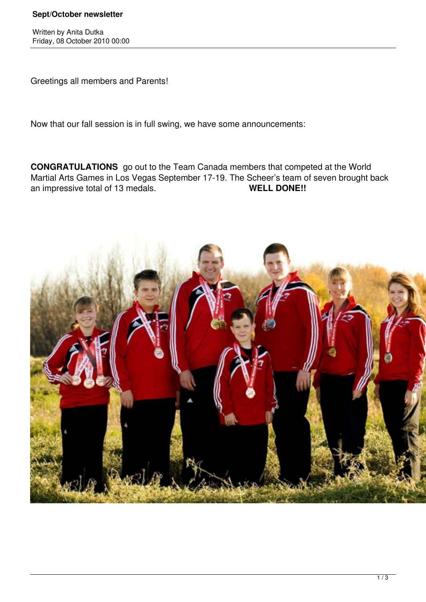## **Sept/October newsletter**

Written by Anita Dutka Friday, 08 October 2010 00:00

Greetings all members and Parents!

Now that our fall session is in full swing, we have some announcements:

**CONGRATULATIONS** go out to the Team Canada members that competed at the World Martial Arts Games in Los Vegas September 17-19. The Scheer's team of seven brought back<br> **WELL DONE!!**<br>
WELL DONE!! an impressive total of 13 medals.

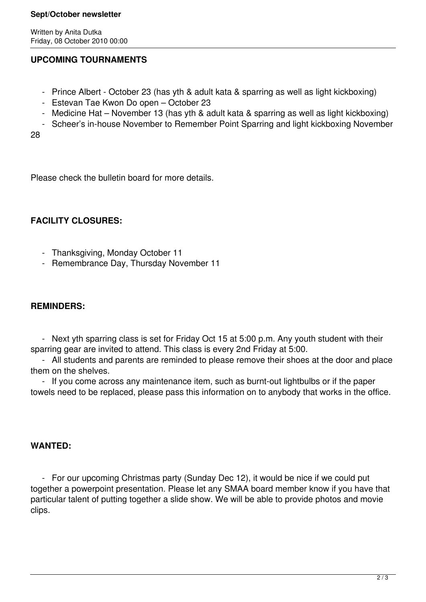## **Sept/October newsletter**

Written by Anita Dutka Friday, 08 October 2010 00:00

# **UPCOMING TOURNAMENTS**

- Prince Albert October 23 (has yth & adult kata & sparring as well as light kickboxing)
- Estevan Tae Kwon Do open October 23
- Medicine Hat November 13 (has yth & adult kata & sparring as well as light kickboxing)
- Scheer's in-house November to Remember Point Sparring and light kickboxing November

28

Please check the bulletin board for more details.

# **FACILITY CLOSURES:**

- Thanksgiving, Monday October 11
- Remembrance Day, Thursday November 11

# **REMINDERS:**

 - Next yth sparring class is set for Friday Oct 15 at 5:00 p.m. Any youth student with their sparring gear are invited to attend. This class is every 2nd Friday at 5:00.

 - All students and parents are reminded to please remove their shoes at the door and place them on the shelves.

 - If you come across any maintenance item, such as burnt-out lightbulbs or if the paper towels need to be replaced, please pass this information on to anybody that works in the office.

## **WANTED:**

 - For our upcoming Christmas party (Sunday Dec 12), it would be nice if we could put together a powerpoint presentation. Please let any SMAA board member know if you have that particular talent of putting together a slide show. We will be able to provide photos and movie clips.